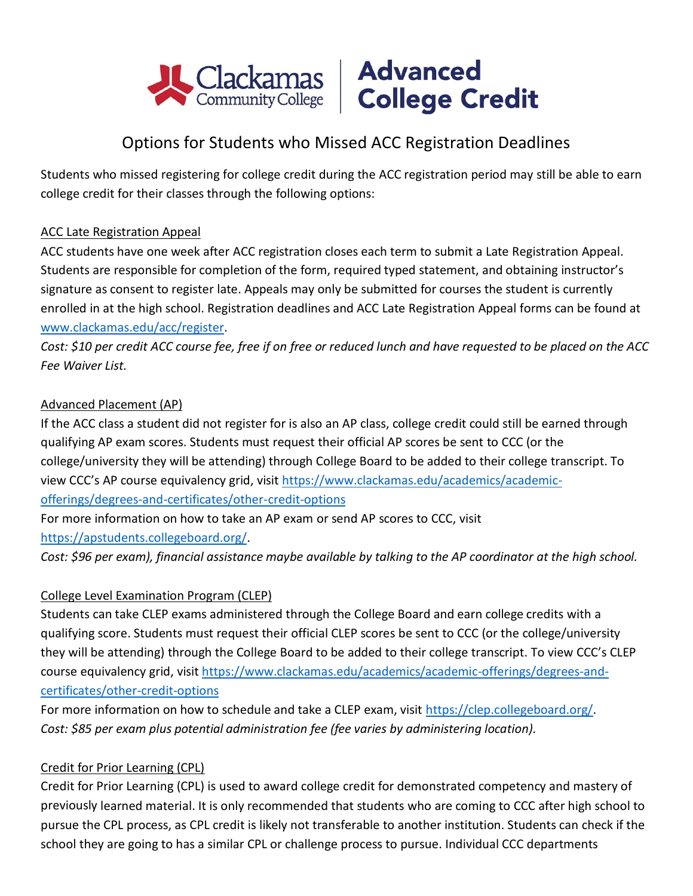



# Options for Students who Missed ACC Registration Deadlines

Students who missed registering for college credit during the ACC registration period may still be able to earn college credit for their classes through the following options:

# ACC Late Registration Appeal

ACC students have one week after ACC registration closes each term to submit a Late Registration Appeal. Students are responsible for completion of the form, required typed statement, and obtaining instructor's signature as consent to register late. Appeals may only be submitted for courses the student is currently enrolled in at the high school. Registration deadlines and ACC Late Registration Appeal forms can be found at [www.clackamas.edu/acc/register.](http://www.clackamas.edu/acc/register)

*Cost: \$10 per credit ACC course fee, free if on free or reduced lunch and have requested to be placed on the ACC Fee Waiver List.*

### Advanced Placement (AP)

If the ACC class a student did not register for is also an AP class, college credit could still be earned through qualifying AP exam scores. Students must request their official AP scores be sent to CCC (or the college/university they will be attending) through College Board to be added to their college transcript. To view CCC's AP course equivalency grid, visit [https://www.clackamas.edu/academics/academic](https://www.clackamas.edu/academics/academic-offerings/degrees-and-certificates/other-credit-options)[offerings/degrees-and-certificates/other-credit-options](https://www.clackamas.edu/academics/academic-offerings/degrees-and-certificates/other-credit-options)

For more information on how to take an AP exam or send AP scores to CCC, visit

[https://apstudents.collegeboard.org/.](https://apstudents.collegeboard.org/)

*Cost: \$96 per exam), financial assistance maybe available by talking to the AP coordinator at the high school.*

#### College Level Examination Program (CLEP)

Students can take CLEP exams administered through the College Board and earn college credits with a qualifying score. Students must request their official CLEP scores be sent to CCC (or the college/university they will be attending) through the College Board to be added to their college transcript. To view CCC's CLEP course equivalency grid, visit [https://www.clackamas.edu/academics/academic-offerings/degrees-and](https://www.clackamas.edu/academics/academic-offerings/degrees-and-certificates/other-credit-options)[certificates/other-credit-options](https://www.clackamas.edu/academics/academic-offerings/degrees-and-certificates/other-credit-options)

For more information on how to schedule and take a CLEP exam, visit [https://clep.collegeboard.org/.](https://clep.collegeboard.org/) *Cost: \$85 per exam plus potential administration fee (fee varies by administering location).*

# Credit for Prior Learning (CPL)

Credit for Prior Learning (CPL) is used to award college credit for demonstrated competency and mastery of previously learned material. It is only recommended that students who are coming to CCC after high school to pursue the CPL process, as CPL credit is likely not transferable to another institution. Students can check if the school they are going to has a similar CPL or challenge process to pursue. Individual CCC departments